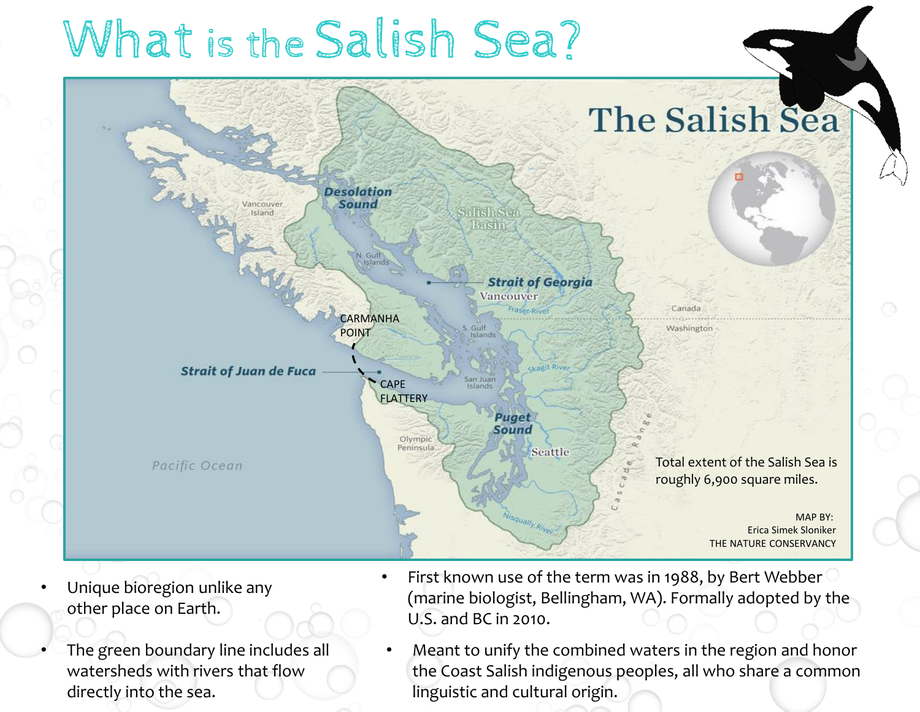# What is the Salish Sea?



- Unique bioregion unlike any other place on Earth.
- The green boundary line includes all watersheds with rivers that flow directly into the sea.
- First known use of the term was in 1988, by Bert Webber (marine biologist, Bellingham, WA). Formally adopted by the U.S. and BC in 2010.
	- Meant to unify the combined waters in the region and honor the Coast Salish indigenous peoples, all who share a common linguistic and cultural origin.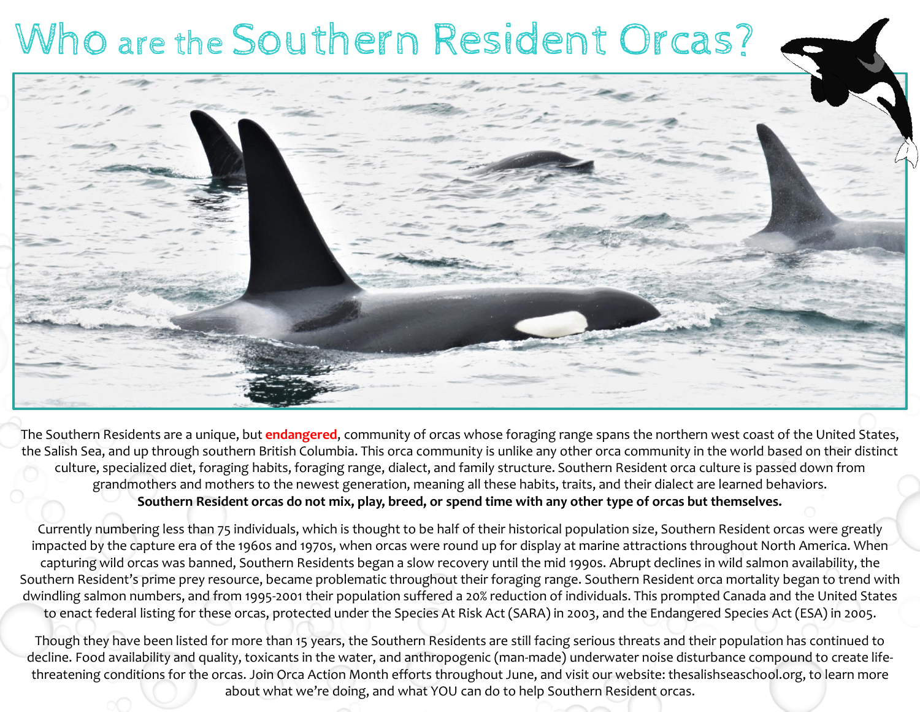## Who are the Southern Resident Orcas?



The Southern Residents are a unique, but **endangered**, community of orcas whose foraging range spans the northern west coast of the United States, the Salish Sea, and up through southern British Columbia. This orca community is unlike any other orca community in the world based on their distinct culture, specialized diet, foraging habits, foraging range, dialect, and family structure. Southern Resident orca culture is passed down from grandmothers and mothers to the newest generation, meaning all these habits, traits, and their dialect are learned behaviors. **Southern Resident orcas do not mix, play, breed, or spend time with any other type of orcas but themselves.**

Currently numbering less than 75 individuals, which is thought to be half of their historical population size, Southern Resident orcas were greatly impacted by the capture era of the 1960s and 1970s, when orcas were round up for display at marine attractions throughout North America. When capturing wild orcas was banned, Southern Residents began a slow recovery until the mid 1990s. Abrupt declines in wild salmon availability, the Southern Resident's prime prey resource, became problematic throughout their foraging range. Southern Resident orca mortality began to trend with dwindling salmon numbers, and from 1995-2001 their population suffered a 20% reduction of individuals. This prompted Canada and the United States to enact federal listing for these orcas, protected under the Species At Risk Act (SARA) in 2003, and the Endangered Species Act (ESA) in 2005.

Though they have been listed for more than 15 years, the Southern Residents are still facing serious threats and their population has continued to decline. Food availability and quality, toxicants in the water, and anthropogenic (man-made) underwater noise disturbance compound to create lifethreatening conditions for the orcas. Join Orca Action Month efforts throughout June, and visit our website: thesalishseaschool.org, to learn more about what we're doing, and what YOU can do to help Southern Resident orcas.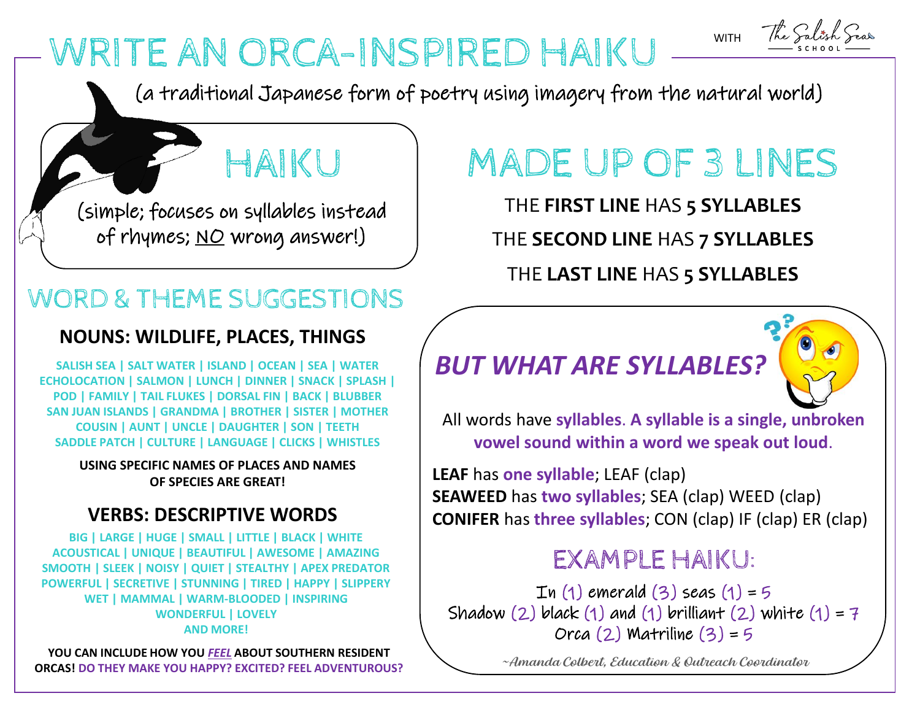## WRITE AN ORCA-INSPIRED HAIKU

(a traditional Japanese form of poetry using imagery from the natural world)

HAIKU

(simple; focuses on syllables instead of rhymes; <u>NO</u> wrong answer!)

### WORD & THEME SUGGESTIONS

#### **NOUNS: WILDLIFE, PLACES, THINGS**

**SALISH SEA | SALT WATER | ISLAND | OCEAN | SEA | WATER ECHOLOCATION | SALMON | LUNCH | DINNER | SNACK | SPLASH | POD | FAMILY | TAIL FLUKES | DORSAL FIN | BACK | BLUBBER SAN JUAN ISLANDS | GRANDMA | BROTHER | SISTER | MOTHER COUSIN | AUNT | UNCLE | DAUGHTER | SON | TEETH SADDLE PATCH | CULTURE | LANGUAGE | CLICKS | WHISTLES**

> **USING SPECIFIC NAMES OF PLACES AND NAMES OF SPECIES ARE GREAT!**

#### **VERBS: DESCRIPTIVE WORDS**

**BIG | LARGE | HUGE | SMALL | LITTLE | BLACK | WHITE ACOUSTICAL | UNIQUE | BEAUTIFUL | AWESOME | AMAZING SMOOTH | SLEEK | NOISY | QUIET | STEALTHY | APEX PREDATOR POWERFUL | SECRETIVE | STUNNING | TIRED | HAPPY | SLIPPERY WET | MAMMAL | WARM-BLOODED | INSPIRING WONDERFUL | LOVELY AND MORE!** 

**YOU CAN INCLUDE HOW YOU** *FEEL* **ABOUT SOUTHERN RESIDENT ORCAS! DO THEY MAKE YOU HAPPY? EXCITED? FEEL ADVENTUROUS?** 

## MADE UP OF 3 LINES

WITH

The Salis

THE **FIRST LINE** HAS **5 SYLLABLES** THE **SECOND LINE** HAS **7 SYLLABLES**

THE **LAST LINE** HAS **5 SYLLABLES**

### *BUT WHAT ARE SYLLABLES?*



All words have **syllables**. **A syllable is a single, unbroken vowel sound within a word we speak out loud**.

**LEAF** has **one syllable**; LEAF (clap) **SEAWEED** has **two syllables**; SEA (clap) WEED (clap) **CONIFER** has **three syllables**; CON (clap) IF (clap) ER (clap)

### EXAMPLE HAIKU:

 $In (1)$  emerald  $(3)$  seas  $(1) = 5$ Shadow (2) black (1) and (1) brilliant (2) white  $(1) = 7$  $Orca$  (2) Matriline (3) = 5

~Amanda Colbert, Education & Outreach Coordinator